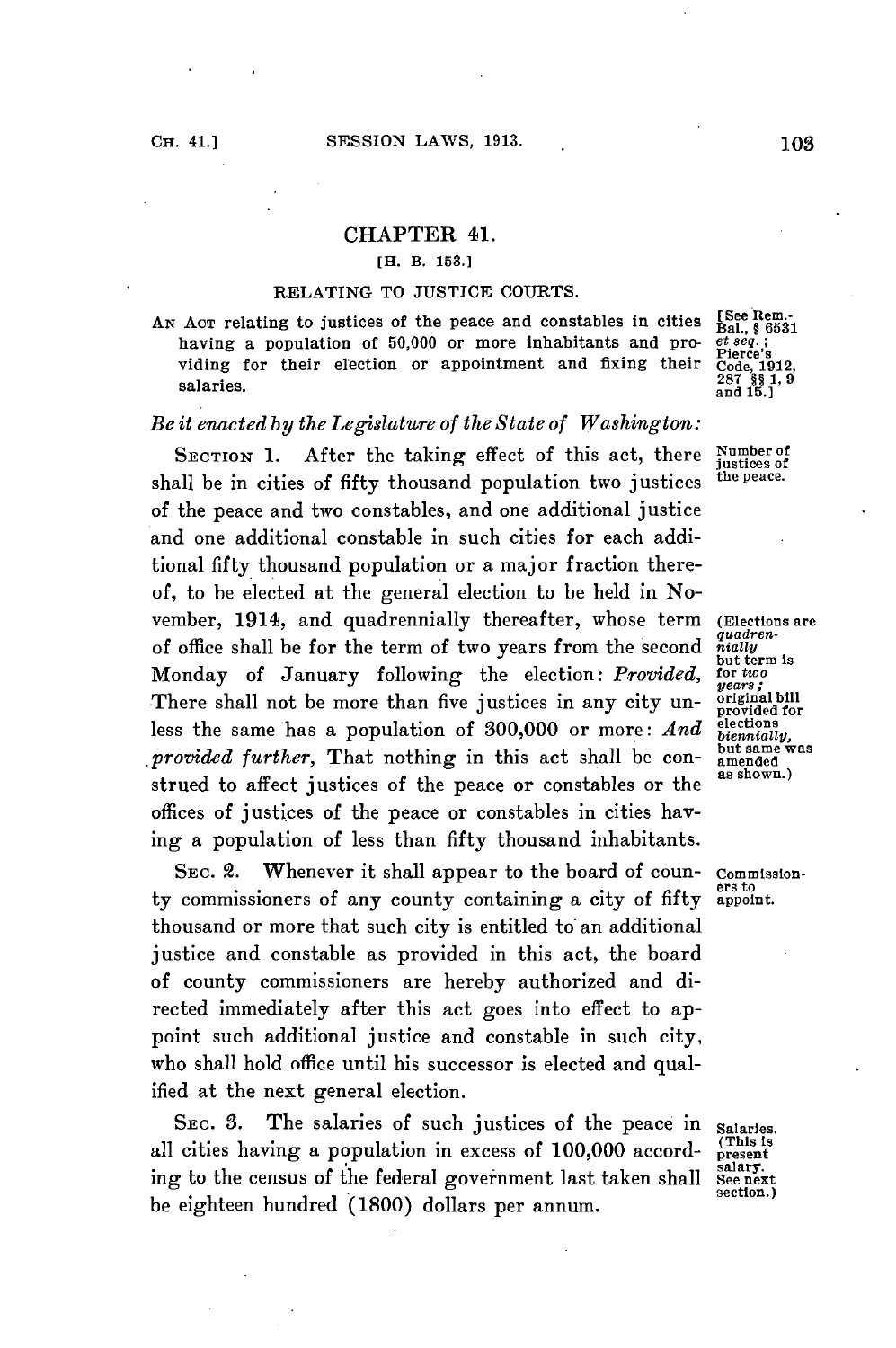## CHAPTER 41.

### **[H. B. 153.1**

#### **RELATING** TO **JUSTICE COURTS.**

AN ACT relating to justices of the peace and constables in cities  $[See$  Rem.-<br>having a population of 50,000 or more inhabitants and pro-eteey; having a population of 50,000 or more inhabitants and providing for their election or appointment and fixing their salaries.

# *Be it enacted by the Legislature of the State of Washington:*

SECTION 1. After the taking effect of this act, there Number of  $_{\text{dustices of}}$  of  $644x$  thousand population two justices the peace. shall be in cities of fifty thousand population two justices of the peace and two constables, and one additional justice and one additional constable in such cities for each additional fifty thousand population or a major fraction thereof, to be elected at the general election to be held in November, 1914, and quadrennially thereafter, whose term (Elections are of office shall be for the term of two years from the second *nially* Monday of January following the election: *Provided*, for two<br>There shell not be more than five justices in any city up- *vears*, There shall not be more than five justices in any city un- original bill less the same has a population of 300,000 or more: And elections *provided further*, That nothing in this act shall be con- but same was strued to affect justices of the peace or constables or the offices of justices of the peace or constables in cities having a population of less than fifty thousand inhabitants.

SEC. 2. Whenever it shall appear to the board of coun- commission-<br>commissioners of any county containing a city of fifty appoint. ty commissioners of any county containing a city of fifty thousand or more that such city is entitled to an additional justice and constable as provided in this act, the board of county commissioners are hereby authorized and directed immediately after this act goes into effect to appoint such additional justice and constable in such city, who shall hold office until his successor is elected and qualified at the next general election.

SEC. 3. The salaries of such justices of the peace in salaries. all cities having a population in excess of 100,000 accord-<br>ing to the census of the federal government last taken shall see next ing to the census of the federal government last taken shall See next be eighteen hundred **(1800)** dollars per annum.

Code, 1912,<br>287 §§ 1, 9<br>and 15.]

but term is<br>for two